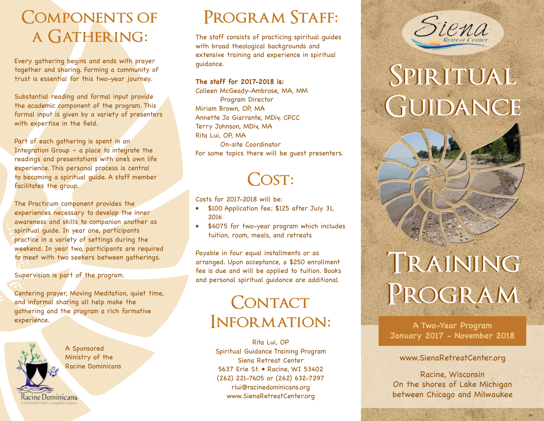## **Components of a Gathering:**

Every gathering begins and ends with prayer together and sharing. Forming a community of trust is essential for this two-year journey.

Substantial reading and formal input provide the academic component of the program. This formal input is given by a variety of presenters with expertise in the field.

Part of each gathering is spent in an Integration Group – a place to integrate the readings and presentations with one's own life experience. This personal process is central to becoming a spiritual guide. A staff member facilitates the group.

The Practicum component provides the experiences necessary to develop the inner awareness and skills to companion another as spiritual guide. In year one, participants practice in a variety of settings during the weekend. In year two, participants are required to meet with two seekers between gatherings.

#### Supervision is part of the program.

Centering prayer, Moving Meditation, quiet time, and informal sharing all help make the gathering and the program a rich formative experience.



A Sponsored Ministry of the Racine Dominicans

Racine Dominicans

## **Program Staff:**

The staff consists of practicing spiritual guides with broad theological backgrounds and extensive training and experience in spiritual guidance.

#### **The staff for 2017-2018 is:**

Colleen McGeady-Ambrose, MA, MM Program Director Miriam Brown, OP, MA Annette Jo Giarrante, MDiv, CPCC Terry Johnson, MDiv, MA Rita Lui, OP, MA On-site Coordinator For some topics there will be guest presenters.

## **Cost:**

Costs for 2017-2018 will be:

- \$100 Application fee; \$125 after July 31, 2016
- \$6075 for two-year program which includes tuition, room, meals, and retreats

Payable in four equal installments or as arranged. Upon acceptance, a \$250 enrollment fee is due and will be applied to tuition. Books and personal spiritual guidance are additional.

## **Contact Information:**

Rita Lui, OP Spiritual Guidance Training Program Siena Retreat Center 5637 Erie St. • Racine, WI 53402 (262) 221-7605 or (262) 632-7297 rlui@racinedominicans.org www.SienaRetreatCenter.org



# **Spiritual Spiritual Guidance Guidance**

# **Training Training Program Program**

**A Two-Year Program January 2017 - November 2018**

### www.SienaRetreatCenter.org

Racine, Wisconsin On the shores of Lake Michigan between Chicago and Milwaukee